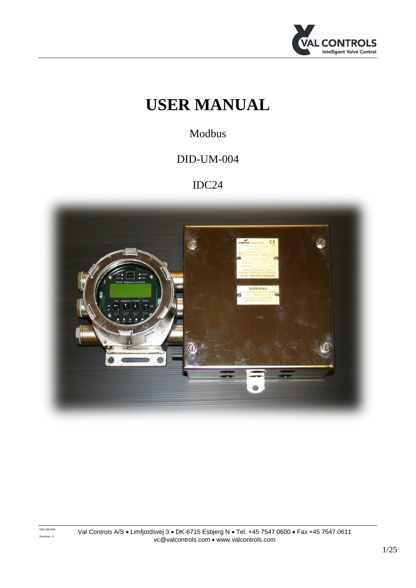

# **USER MANUAL**

Modbus

## DID-UM-004

## IDC24

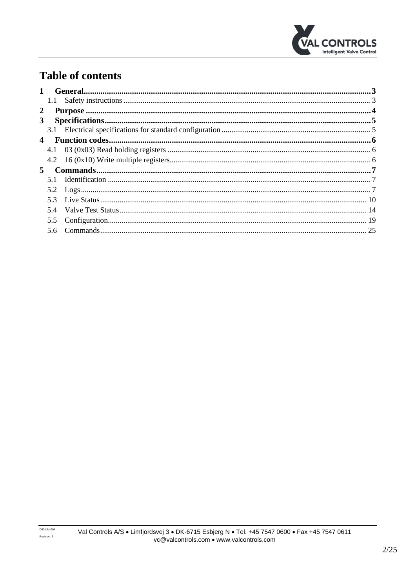

## **Table of contents**

|                         | 1.1           |                                           |  |
|-------------------------|---------------|-------------------------------------------|--|
| 2                       |               |                                           |  |
| 3 <sup>1</sup>          |               |                                           |  |
|                         |               |                                           |  |
| $\overline{\mathbf{4}}$ |               |                                           |  |
|                         |               |                                           |  |
|                         |               |                                           |  |
| 5                       |               | $Commands                               $ |  |
|                         |               |                                           |  |
|                         |               |                                           |  |
|                         |               |                                           |  |
|                         |               |                                           |  |
|                         | $5.5^{\circ}$ |                                           |  |
|                         |               |                                           |  |
|                         |               |                                           |  |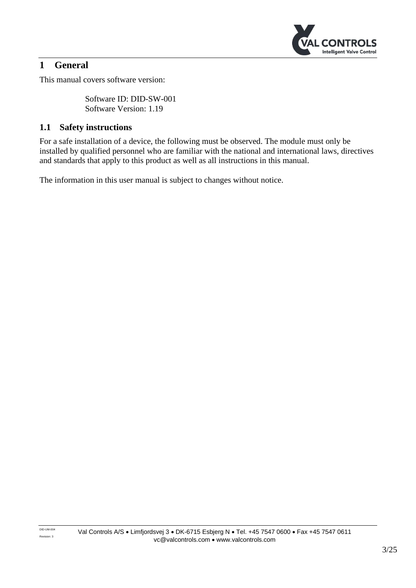

## <span id="page-2-0"></span>**1 General**

This manual covers software version:

Software ID: DID-SW-001 Software Version: 1.19

### <span id="page-2-1"></span>**1.1 Safety instructions**

For a safe installation of a device, the following must be observed. The module must only be installed by qualified personnel who are familiar with the national and international laws, directives and standards that apply to this product as well as all instructions in this manual.

The information in this user manual is subject to changes without notice.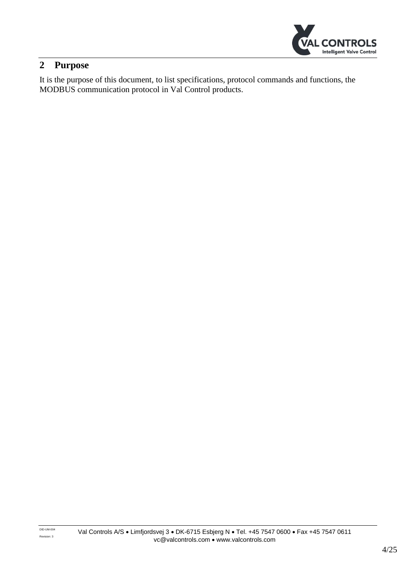

## <span id="page-3-0"></span>**2 Purpose**

It is the purpose of this document, to list specifications, protocol commands and functions, the MODBUS communication protocol in Val Control products.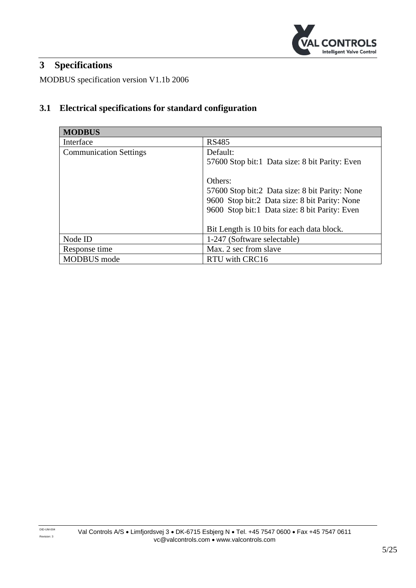

## <span id="page-4-0"></span>**3 Specifications**

MODBUS specification version V1.1b 2006

## <span id="page-4-1"></span>**3.1 Electrical specifications for standard configuration**

| <b>MODBUS</b>                 |                                                                                                                                                                                                           |
|-------------------------------|-----------------------------------------------------------------------------------------------------------------------------------------------------------------------------------------------------------|
| Interface                     | <b>RS485</b>                                                                                                                                                                                              |
| <b>Communication Settings</b> | Default:<br>57600 Stop bit:1 Data size: 8 bit Parity: Even                                                                                                                                                |
|                               | Others:<br>57600 Stop bit:2 Data size: 8 bit Parity: None<br>9600 Stop bit:2 Data size: 8 bit Parity: None<br>9600 Stop bit:1 Data size: 8 bit Parity: Even<br>Bit Length is 10 bits for each data block. |
| Node ID                       | 1-247 (Software selectable)                                                                                                                                                                               |
| Response time                 | Max. 2 sec from slave                                                                                                                                                                                     |
| <b>MODBUS</b> mode            | RTU with CRC16                                                                                                                                                                                            |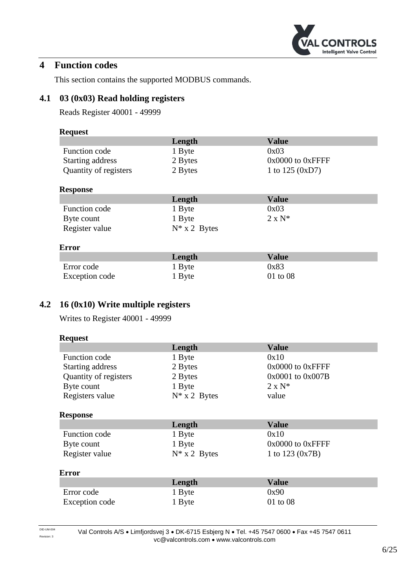

## <span id="page-5-0"></span>**4 Function codes**

This section contains the supported MODBUS commands.

### <span id="page-5-1"></span>**4.1 03 (0x03) Read holding registers**

Reads Register 40001 - 49999

#### **Request**

|                       | Length  | <b>Value</b>          |
|-----------------------|---------|-----------------------|
| Function code         | 1 Byte  | 0x03                  |
| Starting address      | 2 Bytes | $0x0000$ to $0xF$ FFF |
| Quantity of registers | 2 Bytes | 1 to $125 (0xD7)$     |

#### **Response**

|                | Length          | Value          |
|----------------|-----------------|----------------|
| Function code  | 1 Byte          | 0x03           |
| Byte count     | 1 Byte          | $2 \times N^*$ |
| Register value | $N^*$ x 2 Bytes |                |

#### **Error**

|                | Length | <b>Value</b> |
|----------------|--------|--------------|
| Error code     | 1 Byte | 0x83         |
| Exception code | 1 Byte | $01$ to $08$ |

## <span id="page-5-2"></span>**4.2 16 (0x10) Write multiple registers**

Writes to Register 40001 - 49999

| <b>Request</b>        |                 |                       |  |
|-----------------------|-----------------|-----------------------|--|
|                       | Length          | <b>Value</b>          |  |
| <b>Function code</b>  | 1 Byte          | 0x10                  |  |
| Starting address      | 2 Bytes         | $0x0000$ to $0x$ FFFF |  |
| Quantity of registers | 2 Bytes         | 0x0001 to 0x007B      |  |
| Byte count            | 1 Byte          | $2 \times N^*$        |  |
| Registers value       | $N^*$ x 2 Bytes | value                 |  |
| <b>Response</b>       |                 |                       |  |
|                       |                 |                       |  |
|                       | Length          | <b>Value</b>          |  |
| Function code         | 1 Byte          | 0x10                  |  |
| Byte count            | 1 Byte          | $0x0000$ to $0x$ FFFF |  |
| Register value        | $N^*$ x 2 Bytes | 1 to $123 (0x7B)$     |  |
| <b>Error</b>          |                 |                       |  |
|                       | Length          | <b>Value</b>          |  |
| Error code            | 1 Byte          | 0x90                  |  |

DID-UM-004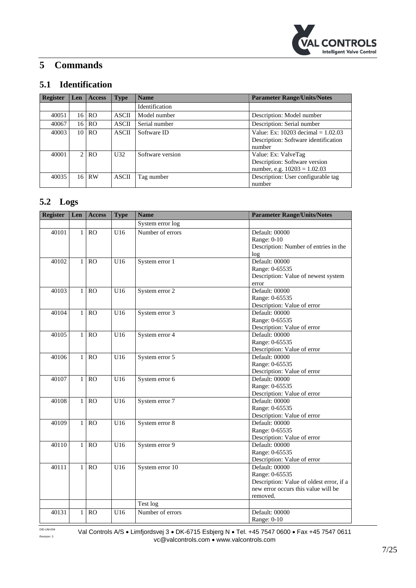

## <span id="page-6-0"></span>**5 Commands**

## <span id="page-6-1"></span>**5.1 Identification**

| <b>Register</b> | Len             | <b>Access</b>  | <b>Type</b>  | <b>Name</b>      | <b>Parameter Range/Units/Notes</b>                                                     |
|-----------------|-----------------|----------------|--------------|------------------|----------------------------------------------------------------------------------------|
|                 |                 |                |              | Identification   |                                                                                        |
| 40051           | 16 <sup>1</sup> | RO.            | <b>ASCII</b> | Model number     | Description: Model number                                                              |
| 40067           | 16              | <b>RO</b>      | <b>ASCII</b> | Serial number    | Description: Serial number                                                             |
| 40003           | 10              | R <sub>O</sub> | <b>ASCII</b> | Software ID      | Value: Ex: 10203 decimal $= 1.02.03$<br>Description: Software identification<br>number |
| 40001           | $\mathcal{L}$   | R <sub>O</sub> | U32          | Software version | Value: Ex: ValveTag<br>Description: Software version<br>number, e.g. $10203 = 1.02.03$ |
| 40035           | 16 <sup>1</sup> | <b>RW</b>      | <b>ASCII</b> | Tag number       | Description: User configurable tag<br>number                                           |

### <span id="page-6-2"></span>**5.2 Logs**

| <b>Register</b> | Len          | <b>Access</b>  | <b>Type</b> | <b>Name</b>      | <b>Parameter Range/Units/Notes</b>       |
|-----------------|--------------|----------------|-------------|------------------|------------------------------------------|
|                 |              |                |             | System error log |                                          |
| 40101           | $\mathbf{1}$ | <b>RO</b>      | U16         | Number of errors | Default: 00000                           |
|                 |              |                |             |                  | Range: 0-10                              |
|                 |              |                |             |                  | Description: Number of entries in the    |
|                 |              |                |             |                  | log                                      |
| 40102           | $\mathbf{1}$ | RO             | U16         | System error 1   | Default: 00000                           |
|                 |              |                |             |                  | Range: 0-65535                           |
|                 |              |                |             |                  | Description: Value of newest system      |
|                 |              |                |             |                  | error                                    |
| 40103           | 1            | RO             | U16         | System error 2   | Default: 00000                           |
|                 |              |                |             |                  | Range: 0-65535                           |
|                 |              |                |             |                  | Description: Value of error              |
| 40104           | $\mathbf{1}$ | R <sub>O</sub> | U16         | System error 3   | Default: 00000                           |
|                 |              |                |             |                  | Range: 0-65535                           |
|                 |              |                |             |                  | Description: Value of error              |
| 40105           | $\mathbf{1}$ | <b>RO</b>      | U16         | System error 4   | Default: 00000                           |
|                 |              |                |             |                  | Range: 0-65535                           |
|                 |              |                |             |                  | Description: Value of error              |
| 40106           | $\mathbf{1}$ | <b>RO</b>      | U16         | System error 5   | Default: 00000                           |
|                 |              |                |             |                  | Range: 0-65535                           |
|                 |              |                |             |                  | Description: Value of error              |
| 40107           | $\mathbf{1}$ | RO             | U16         | System error 6   | Default: 00000                           |
|                 |              |                |             |                  | Range: 0-65535                           |
|                 |              |                |             |                  | Description: Value of error              |
| 40108           | $\mathbf{1}$ | RO             | U16         | System error 7   | Default: 00000                           |
|                 |              |                |             |                  | Range: 0-65535                           |
|                 |              |                |             |                  | Description: Value of error              |
| 40109           | $\mathbf{1}$ | RO             | U16         | System error 8   | Default: 00000                           |
|                 |              |                |             |                  | Range: 0-65535                           |
|                 |              |                |             |                  | Description: Value of error              |
| 40110           | $\mathbf{1}$ | <b>RO</b>      | U16         | System error 9   | Default: 00000                           |
|                 |              |                |             |                  | Range: 0-65535                           |
|                 |              |                |             |                  | Description: Value of error              |
| 40111           | $\mathbf{1}$ | <b>RO</b>      | U16         | System error 10  | Default: 00000                           |
|                 |              |                |             |                  | Range: 0-65535                           |
|                 |              |                |             |                  | Description: Value of oldest error, if a |
|                 |              |                |             |                  | new error occurs this value will be      |
|                 |              |                |             |                  | removed.                                 |
|                 |              |                |             | Test log         |                                          |
| 40131           | 1            | <b>RO</b>      | U16         | Number of errors | Default: 00000                           |
|                 |              |                |             |                  | Range: 0-10                              |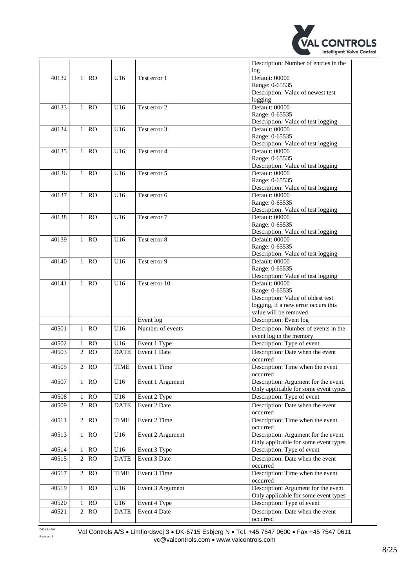

|       |                |               |                   |                  | Description: Number of entries in the |
|-------|----------------|---------------|-------------------|------------------|---------------------------------------|
|       |                |               |                   |                  | log                                   |
| 40132 | $\mathbf{1}$   | RO            | U16               | Test error 1     | Default: 00000                        |
|       |                |               |                   |                  | Range: 0-65535                        |
|       |                |               |                   |                  | Description: Value of newest test     |
|       |                |               |                   |                  | logging                               |
| 40133 | $\mathbf{1}$   | RO            | U16               | Test error 2     | Default: 00000                        |
|       |                |               |                   |                  | Range: 0-65535                        |
|       |                |               |                   |                  | Description: Value of test logging    |
| 40134 | $\mathbf{1}$   | RO            | U16               | Test error 3     | Default: 00000                        |
|       |                |               |                   |                  | Range: 0-65535                        |
|       |                |               |                   |                  | Description: Value of test logging    |
| 40135 | $\mathbf{1}$   | RO            | U16               | Test error 4     | Default: 00000                        |
|       |                |               |                   |                  | Range: 0-65535                        |
|       |                |               |                   |                  | Description: Value of test logging    |
| 40136 | $\mathbf{1}$   | RO            | U16               | Test error 5     | Default: 00000                        |
|       |                |               |                   |                  | Range: 0-65535                        |
|       |                |               |                   |                  | Description: Value of test logging    |
| 40137 | $\mathbf{1}$   | RO            | U16               | Test error 6     | Default: 00000                        |
|       |                |               |                   |                  | Range: 0-65535                        |
|       |                |               |                   |                  | Description: Value of test logging    |
| 40138 | $\mathbf{1}$   | RO            | U16               | Test error 7     | Default: 00000                        |
|       |                |               |                   |                  | Range: 0-65535                        |
|       |                |               |                   |                  | Description: Value of test logging    |
| 40139 | $\mathbf{1}$   | RO            | U16               | Test error 8     | Default: 00000                        |
|       |                |               |                   |                  | Range: 0-65535                        |
|       |                |               |                   |                  | Description: Value of test logging    |
| 40140 | $\mathbf{1}$   | <b>RO</b>     | U16               | Test error 9     | Default: 00000                        |
|       |                |               |                   |                  | Range: 0-65535                        |
|       |                |               |                   |                  | Description: Value of test logging    |
| 40141 | $\mathbf{1}$   | <b>RO</b>     | U16               | Test error 10    | Default: 00000                        |
|       |                |               |                   |                  | Range: 0-65535                        |
|       |                |               |                   |                  | Description: Value of oldest test     |
|       |                |               |                   |                  | logging, if a new error occurs this   |
|       |                |               |                   |                  | value will be removed                 |
|       |                |               |                   | Event log        | Description: Event log                |
|       |                |               |                   |                  |                                       |
| 40501 | $\mathbf{1}$   | <sub>RO</sub> | U16               | Number of events | Description: Number of events in the  |
|       |                |               |                   |                  | event log in the memory               |
| 40502 | 1              | RO            | U16               | Event 1 Type     | Description: Type of event            |
| 40503 | $\overline{c}$ | RO            | <b>DATE</b>       | Event 1 Date     | Description: Date when the event      |
|       |                |               |                   |                  | occurred                              |
| 40505 | $\overline{2}$ | <b>RO</b>     | <b>TIME</b>       | Event 1 Time     | Description: Time when the event      |
|       |                |               |                   |                  | occurred                              |
| 40507 | 1              | <b>RO</b>     | U16               | Event 1 Argument | Description: Argument for the event.  |
|       |                |               |                   |                  | Only applicable for some event types  |
| 40508 | $\mathbf{1}$   | RO            | U16               | Event 2 Type     | Description: Type of event            |
| 40509 | $\overline{2}$ | <b>RO</b>     | <b>DATE</b>       | Event 2 Date     | Description: Date when the event      |
|       |                |               |                   |                  | occurred                              |
| 40511 | $\overline{c}$ | RO            | <b>TIME</b>       | Event 2 Time     | Description: Time when the event      |
|       |                |               |                   |                  | occurred                              |
| 40513 | $\mathbf{1}$   | RO            | U16               | Event 2 Argument | Description: Argument for the event.  |
|       |                |               |                   |                  | Only applicable for some event types  |
|       |                |               |                   |                  |                                       |
| 40514 | $\mathbf{1}$   | RO            | U16               | Event 3 Type     | Description: Type of event            |
| 40515 | $\overline{2}$ | RO            | <b>DATE</b>       | Event 3 Date     | Description: Date when the event      |
|       |                |               |                   |                  | occurred                              |
| 40517 | $\mathbf{2}$   | RO            | <b>TIME</b>       | Event 3 Time     | Description: Time when the event      |
|       |                |               |                   |                  | occurred                              |
| 40519 | $\mathbf{1}$   | RO            | U16               | Event 3 Argument | Description: Argument for the event.  |
|       |                |               |                   |                  | Only applicable for some event types  |
| 40520 | 1              | <b>RO</b>     | $\overline{U}$ 16 | Event 4 Type     | Description: Type of event            |
| 40521 | $\overline{c}$ | <b>RO</b>     | <b>DATE</b>       | Event 4 Date     | Description: Date when the event      |
|       |                |               |                   |                  | occurred                              |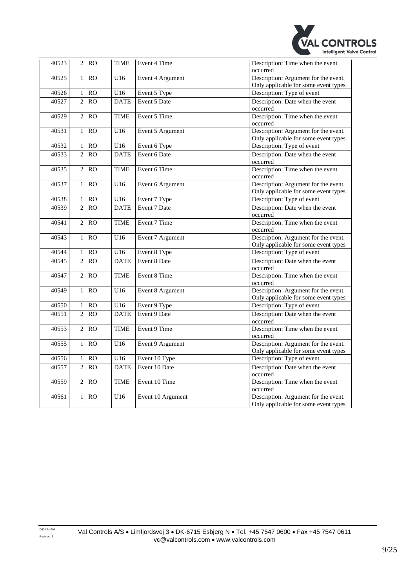

| 40523 | $\overline{2}$ | RO              | <b>TIME</b>      | Event 4 Time      | Description: Time when the event<br>occurred                                 |
|-------|----------------|-----------------|------------------|-------------------|------------------------------------------------------------------------------|
| 40525 | $\mathbf{1}$   | RO              | U16              | Event 4 Argument  | Description: Argument for the event.<br>Only applicable for some event types |
| 40526 | $\mathbf{1}$   | RO              | U16              | Event 5 Type      | Description: Type of event                                                   |
| 40527 | $\overline{2}$ | RO              | <b>DATE</b>      | Event 5 Date      | Description: Date when the event<br>occurred                                 |
| 40529 | $\overline{2}$ | RO              | <b>TIME</b>      | Event 5 Time      | Description: Time when the event<br>occurred                                 |
| 40531 | $\mathbf{1}$   | RO              | U16              | Event 5 Argument  | Description: Argument for the event.<br>Only applicable for some event types |
| 40532 | $\,1$          | RO              | U16              | Event 6 Type      | Description: Type of event                                                   |
| 40533 | $\overline{2}$ | RO              | <b>DATE</b>      | Event 6 Date      | Description: Date when the event<br>occurred                                 |
| 40535 | $\overline{2}$ | RO              | <b>TIME</b>      | Event 6 Time      | Description: Time when the event<br>occurred                                 |
| 40537 | $\mathbf{1}$   | RO              | U16              | Event 6 Argument  | Description: Argument for the event.<br>Only applicable for some event types |
| 40538 | $\mathbf{1}$   | RO              | U16              | Event 7 Type      | Description: Type of event                                                   |
| 40539 | $\overline{2}$ | <b>RO</b>       | <b>DATE</b>      | Event 7 Date      | Description: Date when the event<br>occurred                                 |
| 40541 | $\overline{2}$ | RO              | <b>TIME</b>      | Event 7 Time      | Description: Time when the event<br>occurred                                 |
| 40543 | $\mathbf{1}$   | $\overline{RO}$ | $\overline{U16}$ | Event 7 Argument  | Description: Argument for the event.<br>Only applicable for some event types |
| 40544 | $\mathbf{1}$   | RO              | U16              | Event 8 Type      | Description: Type of event                                                   |
| 40545 | $\overline{2}$ | RO              | <b>DATE</b>      | Event 8 Date      | Description: Date when the event<br>occurred                                 |
| 40547 | $\overline{2}$ | RO              | <b>TIME</b>      | Event 8 Time      | Description: Time when the event<br>occurred                                 |
| 40549 | $\mathbf{1}$   | <b>RO</b>       | U16              | Event 8 Argument  | Description: Argument for the event.<br>Only applicable for some event types |
| 40550 | $\mathbf{1}$   | RO              | U16              | Event 9 Type      | Description: Type of event                                                   |
| 40551 | $\overline{2}$ | RO              | <b>DATE</b>      | Event 9 Date      | Description: Date when the event<br>occurred                                 |
| 40553 | $\overline{2}$ | RO              | <b>TIME</b>      | Event 9 Time      | Description: Time when the event<br>occurred                                 |
| 40555 | $\mathbf{1}$   | RO              | U16              | Event 9 Argument  | Description: Argument for the event.<br>Only applicable for some event types |
| 40556 | $\mathbf{1}$   | RO              | U16              | Event 10 Type     | Description: Type of event                                                   |
| 40557 | $\overline{2}$ | RO              | <b>DATE</b>      | Event 10 Date     | Description: Date when the event<br>occurred                                 |
| 40559 | $\overline{2}$ | RO              | <b>TIME</b>      | Event 10 Time     | Description: Time when the event<br>occurred                                 |
| 40561 | $\mathbf{1}$   | RO              | U16              | Event 10 Argument | Description: Argument for the event.<br>Only applicable for some event types |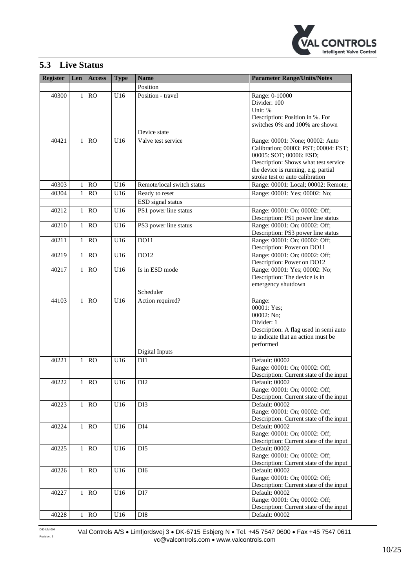

## <span id="page-9-0"></span>**5.3 Live Status**

| <b>Register</b> | Len          | <b>Access</b> | <b>Type</b> | <b>Name</b>                | <b>Parameter Range/Units/Notes</b>                              |
|-----------------|--------------|---------------|-------------|----------------------------|-----------------------------------------------------------------|
|                 |              |               |             | Position                   |                                                                 |
| 40300           | $\mathbf{1}$ | <b>RO</b>     | U16         | Position - travel          | Range: 0-10000                                                  |
|                 |              |               |             |                            | Divider: 100                                                    |
|                 |              |               |             |                            | Unit: %                                                         |
|                 |              |               |             |                            | Description: Position in %. For                                 |
|                 |              |               |             |                            | switches 0% and 100% are shown                                  |
|                 |              |               |             | Device state               |                                                                 |
| 40421           | 1            | <b>RO</b>     | U16         | Valve test service         | Range: 00001: None; 00002: Auto                                 |
|                 |              |               |             |                            | Calibration; 00003: PST; 00004: FST;                            |
|                 |              |               |             |                            | 00005: SOT; 00006: ESD;<br>Description: Shows what test service |
|                 |              |               |             |                            | the device is running, e.g. partial                             |
|                 |              |               |             |                            | stroke test or auto calibration                                 |
| 40303           | $\mathbf{1}$ | <b>RO</b>     | U16         | Remote/local switch status | Range: 00001: Local; 00002: Remote;                             |
| 40304           | $\mathbf{1}$ | <b>RO</b>     | U16         | Ready to reset             | Range: 00001: Yes; 00002: No;                                   |
|                 |              |               |             | ESD signal status          |                                                                 |
| 40212           | $\mathbf{1}$ | RO            | U16         | PS1 power line status      | Range: 00001: On; 00002: Off;                                   |
|                 |              |               |             |                            | Description: PS1 power line status                              |
| 40210           | $\mathbf{1}$ | RO            | U16         | PS3 power line status      | Range: 00001: On; 00002: Off;                                   |
|                 |              |               |             |                            | Description: PS3 power line status                              |
| 40211           | $\mathbf{1}$ | <b>RO</b>     | U16         | DO11                       | Range: 00001: On; 00002: Off;                                   |
|                 |              |               |             |                            | Description: Power on DO11                                      |
| 40219           | $\mathbf{1}$ | <b>RO</b>     | U16         | DO12                       | Range: 00001: On; 00002: Off;                                   |
|                 |              |               |             |                            | Description: Power on DO12                                      |
| 40217           | $\mathbf{1}$ | <b>RO</b>     | U16         | Is in ESD mode             | Range: 00001: Yes; 00002: No;                                   |
|                 |              |               |             |                            | Description: The device is in<br>emergency shutdown             |
|                 |              |               |             | Scheduler                  |                                                                 |
| 44103           | $\mathbf{1}$ | RO            | U16         | Action required?           | Range:                                                          |
|                 |              |               |             |                            | 00001: Yes;                                                     |
|                 |              |               |             |                            | 00002: No;                                                      |
|                 |              |               |             |                            | Divider: 1                                                      |
|                 |              |               |             |                            | Description: A flag used in semi auto                           |
|                 |              |               |             |                            | to indicate that an action must be                              |
|                 |              |               |             |                            | performed                                                       |
|                 |              |               |             | Digital Inputs             |                                                                 |
| 40221           | 1            | <b>RO</b>     | U16         | DI1                        | Default: 00002<br>Range: 00001: On; 00002: Off;                 |
|                 |              |               |             |                            | Description: Current state of the input                         |
| 40222           | $\mathbf{1}$ | RO            | U16         | DI <sub>2</sub>            | Default: 00002                                                  |
|                 |              |               |             |                            | Range: 00001: On; 00002: Off;                                   |
|                 |              |               |             |                            | Description: Current state of the input                         |
| 40223           | 1            | RO            | U16         | DI3                        | Default: 00002                                                  |
|                 |              |               |             |                            | Range: 00001: On; 00002: Off;                                   |
|                 |              |               |             |                            | Description: Current state of the input                         |
| 40224           | 1            | RO            | U16         | DI <sub>4</sub>            | Default: 00002<br>Range: 00001: On; 00002: Off;                 |
|                 |              |               |             |                            | Description: Current state of the input                         |
| 40225           | $\mathbf{1}$ | RO            | U16         | DI <sub>5</sub>            | Default: 00002                                                  |
|                 |              |               |             |                            | Range: 00001: On; 00002: Off;                                   |
|                 |              |               |             |                            | Description: Current state of the input                         |
| 40226           | $\mathbf{1}$ | RO            | U16         | DI <sub>6</sub>            | Default: 00002                                                  |
|                 |              |               |             |                            | Range: 00001: On; 00002: Off;                                   |
|                 |              |               |             |                            | Description: Current state of the input                         |
| 40227           | 1            | RO            | U16         | DI7                        | Default: 00002                                                  |
|                 |              |               |             |                            | Range: 00001: On; 00002: Off;                                   |
|                 | $\mathbf{1}$ | RO            |             |                            | Description: Current state of the input<br>Default: 00002       |
| 40228           |              |               | U16         | DI <sub>8</sub>            |                                                                 |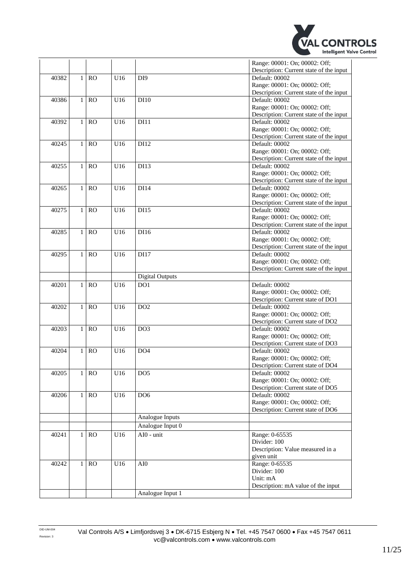

|       |                |           |                 |                        | Range: 00001: On; 00002: Off;                             |
|-------|----------------|-----------|-----------------|------------------------|-----------------------------------------------------------|
|       |                |           |                 |                        | Description: Current state of the input                   |
| 40382 | $\mathbf{1}$   | RO        | U16             | DI <sub>9</sub>        | Default: 00002                                            |
|       |                |           |                 |                        | Range: 00001: On; 00002: Off;                             |
|       |                |           |                 |                        | Description: Current state of the input                   |
| 40386 | $\mathbf{1}$   | <b>RO</b> | U16             | DI10                   | Default: 00002                                            |
|       |                |           |                 |                        | Range: 00001: On; 00002: Off;                             |
|       |                |           |                 |                        | Description: Current state of the input                   |
| 40392 | $\mathbf{1}$   | <b>RO</b> | U16             | DI11                   | Default: 00002                                            |
|       |                |           |                 |                        | Range: 00001: On; 00002: Off;                             |
|       |                |           |                 |                        | Description: Current state of the input                   |
| 40245 | $\mathbf{1}$   | <b>RO</b> | U16             | DI12                   | Default: 00002                                            |
|       |                |           |                 |                        | Range: 00001: On; 00002: Off;                             |
|       |                |           |                 |                        | Description: Current state of the input                   |
| 40255 | $\mathbf{1}$   | RO        | U16             | DI13                   | Default: 00002                                            |
|       |                |           |                 |                        | Range: 00001: On; 00002: Off;                             |
|       |                |           |                 |                        |                                                           |
|       |                | <b>RO</b> | U16             |                        | Description: Current state of the input<br>Default: 00002 |
| 40265 | 1              |           |                 | DI14                   |                                                           |
|       |                |           |                 |                        | Range: 00001: On; 00002: Off;                             |
|       |                |           |                 |                        | Description: Current state of the input                   |
| 40275 | 1              | <b>RO</b> | U16             | DI15                   | Default: 00002                                            |
|       |                |           |                 |                        | Range: 00001: On; 00002: Off;                             |
|       |                |           |                 |                        | Description: Current state of the input                   |
| 40285 | $\mathbf{1}$   | <b>RO</b> | U16             | DI16                   | Default: 00002                                            |
|       |                |           |                 |                        | Range: 00001: On; 00002: Off;                             |
|       |                |           |                 |                        | Description: Current state of the input                   |
| 40295 | $\mathbf{1}$   | RO        | U16             | DI17                   | Default: 00002                                            |
|       |                |           |                 |                        | Range: 00001: On; 00002: Off;                             |
|       |                |           |                 |                        | Description: Current state of the input                   |
|       |                |           |                 | <b>Digital Outputs</b> |                                                           |
| 40201 | 1              | <b>RO</b> | U16             | DO1                    | Default: 00002                                            |
|       |                |           |                 |                        | Range: 00001: On; 00002: Off;                             |
|       |                |           |                 |                        | Description: Current state of DO1                         |
| 40202 | $\mathbf{1}$   | RO        | U16             | DO <sub>2</sub>        | Default: 00002                                            |
|       |                |           |                 |                        | Range: 00001: On; 00002: Off;                             |
|       |                |           |                 |                        | Description: Current state of DO2                         |
| 40203 | $\mathbf{1}$   | <b>RO</b> | U16             | DO <sub>3</sub>        | Default: 00002                                            |
|       |                |           |                 |                        | Range: 00001: On; 00002: Off;                             |
|       |                |           |                 |                        | Description: Current state of DO3                         |
| 40204 | $\mathbf{1}$   | <b>RO</b> | U16             | DO <sub>4</sub>        | Default: 00002                                            |
|       |                |           |                 |                        | Range: 00001: On; 00002: Off;                             |
|       |                |           |                 |                        | Description: Current state of DO4                         |
| 40205 |                | 1 RO      | U <sub>16</sub> | DO <sub>5</sub>        | Default: 00002                                            |
|       |                |           |                 |                        | Range: 00001: On; 00002: Off;                             |
|       |                |           |                 |                        | Description: Current state of DO5                         |
| 40206 | 1              | RO        | U16             | DO <sub>6</sub>        | Default: 00002                                            |
|       |                |           |                 |                        | Range: 00001: On; 00002: Off;                             |
|       |                |           |                 |                        | Description: Current state of DO6                         |
|       |                |           |                 | Analogue Inputs        |                                                           |
|       |                |           |                 | Analogue Input 0       |                                                           |
|       |                |           |                 | $AI0 - unit$           |                                                           |
| 40241 | $\mathbf{1}$   | RO        | U16             |                        | Range: 0-65535                                            |
|       |                |           |                 |                        | Divider: 100                                              |
|       |                |           |                 |                        | Description: Value measured in a                          |
|       |                |           |                 |                        | given unit                                                |
| 40242 | 1 <sup>1</sup> | RO        | U16             | AI0                    | Range: 0-65535                                            |
|       |                |           |                 |                        | Divider: 100                                              |
|       |                |           |                 |                        |                                                           |
|       |                |           |                 |                        | Unit: mA                                                  |
|       |                |           |                 | Analogue Input 1       | Description: mA value of the input                        |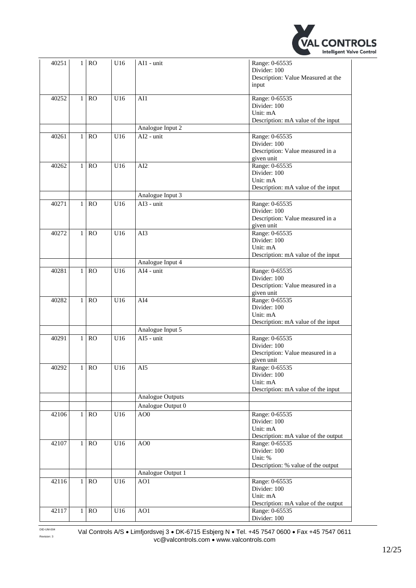

| 40251 | 1 <sup>1</sup> | <b>RO</b> | U16 | AI1 - unit        | Range: 0-65535<br>Divider: 100<br>Description: Value Measured at the<br>input                  |
|-------|----------------|-----------|-----|-------------------|------------------------------------------------------------------------------------------------|
| 40252 | $\mathbf{1}$   | <b>RO</b> | U16 | AI1               | Range: 0-65535<br>Divider: 100<br>Unit: mA<br>Description: mA value of the input               |
|       |                |           |     | Analogue Input 2  |                                                                                                |
| 40261 | $\mathbf{1}$   | RO        | U16 | $AI2 - unit$      | Range: 0-65535<br>Divider: 100<br>Description: Value measured in a<br>given unit               |
| 40262 | $\mathbf{1}$   | <b>RO</b> | U16 | AI2               | Range: 0-65535<br>Divider: 100<br>Unit: mA<br>Description: mA value of the input               |
|       |                |           |     | Analogue Input 3  |                                                                                                |
| 40271 | $\mathbf{1}$   | RO        | U16 | $AI3 - unit$      | Range: 0-65535<br>Divider: 100<br>Description: Value measured in a<br>given unit               |
| 40272 | $\mathbf{1}$   | <b>RO</b> | U16 | AI3               | Range: 0-65535<br>Divider: 100<br>Unit: mA<br>Description: mA value of the input               |
|       |                |           |     | Analogue Input 4  |                                                                                                |
| 40281 | $\mathbf{1}$   | <b>RO</b> | U16 | AI4 - unit        | Range: 0-65535<br>Divider: 100<br>Description: Value measured in a                             |
| 40282 | 1              | <b>RO</b> | U16 | AI4               | given unit<br>Range: 0-65535<br>Divider: 100<br>Unit: mA<br>Description: mA value of the input |
|       |                |           |     | Analogue Input 5  |                                                                                                |
| 40291 | $\mathbf{1}$   | <b>RO</b> | U16 | AI5 - unit        | Range: 0-65535<br>Divider: 100<br>Description: Value measured in a<br>given unit               |
| 40292 |                | 1 RO      | U16 | AI5               | Range: 0-65535<br>Divider: 100<br>Unit: mA<br>Description: mA value of the input               |
|       |                |           |     | Analogue Outputs  |                                                                                                |
|       |                |           |     | Analogue Output 0 |                                                                                                |
| 42106 | $\mathbf{1}$   | RO        | U16 | AO <sub>0</sub>   | Range: 0-65535<br>Divider: 100<br>Unit: mA<br>Description: mA value of the output              |
| 42107 |                | $1$ RO    | U16 | AOO               | Range: 0-65535<br>Divider: 100<br>Unit: %<br>Description: % value of the output                |
|       |                |           |     | Analogue Output 1 |                                                                                                |
| 42116 | $\mathbf{1}$   | RO        | U16 | AO1               | Range: 0-65535<br>Divider: 100<br>Unit: mA<br>Description: mA value of the output              |
| 42117 | $\mathbf{1}$   | RO        | U16 | AO1               | Range: 0-65535<br>Divider: 100                                                                 |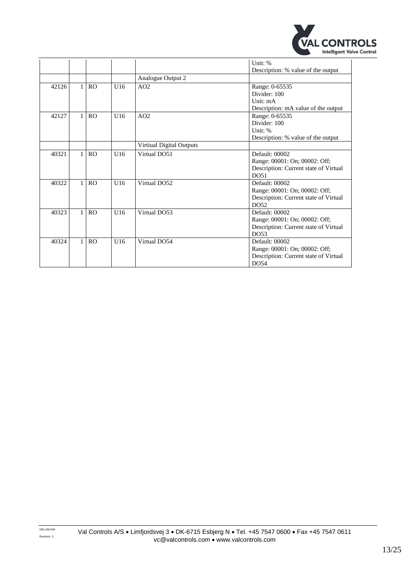

|       |              |                |     |                          | Unit: %<br>Description: % value of the output                                                    |
|-------|--------------|----------------|-----|--------------------------|--------------------------------------------------------------------------------------------------|
|       |              |                |     | Analogue Output 2        |                                                                                                  |
| 42126 | $\mathbf{1}$ | R <sub>O</sub> | U16 | AO2                      | Range: 0-65535<br>Divider: 100<br>Unit: mA<br>Description: mA value of the output                |
| 42127 | $\mathbf{1}$ | R <sub>O</sub> | U16 | AO2                      | Range: 0-65535<br>Divider: 100<br>Unit: %<br>Description: % value of the output                  |
|       |              |                |     | Virtiual Digital Outputs |                                                                                                  |
| 40321 | $\mathbf{1}$ | RO             | U16 | Virtual DO51             | Default: 00002<br>Range: 00001: On; 00002: Off;<br>Description: Current state of Virtual<br>DO51 |
| 40322 | 1            | RO             | U16 | Virtual DO52             | Default: 00002<br>Range: 00001: On; 00002: Off;<br>Description: Current state of Virtual<br>DO52 |
| 40323 | $\mathbf{1}$ | RO             | U16 | Virtual DO53             | Default: 00002<br>Range: 00001: On; 00002: Off;<br>Description: Current state of Virtual<br>DO53 |
| 40324 | $\mathbf{1}$ | RO             | U16 | Virtual DO54             | Default: 00002<br>Range: 00001: On; 00002: Off;<br>Description: Current state of Virtual<br>DO54 |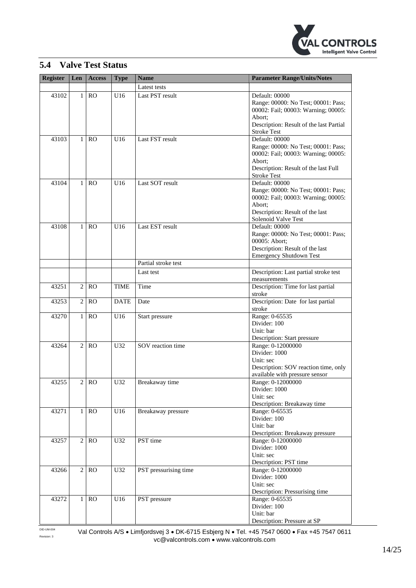

### <span id="page-13-0"></span>**5.4 Valve Test Status**

| <b>Register</b> | Len            | <b>Access</b> | <b>Type</b> | <b>Name</b>           | <b>Parameter Range/Units/Notes</b>               |
|-----------------|----------------|---------------|-------------|-----------------------|--------------------------------------------------|
|                 |                |               |             | Latest tests          |                                                  |
| 43102           | $\mathbf{1}$   | RO            | U16         | Last PST result       | Default: 00000                                   |
|                 |                |               |             |                       | Range: 00000: No Test; 00001: Pass;              |
|                 |                |               |             |                       | 00002: Fail; 00003: Warning; 00005:              |
|                 |                |               |             |                       | Abort;                                           |
|                 |                |               |             |                       | Description: Result of the last Partial          |
|                 |                |               |             |                       | <b>Stroke Test</b>                               |
| 43103           | 1              | RO            | U16         | Last FST result       | Default: 00000                                   |
|                 |                |               |             |                       | Range: 00000: No Test; 00001: Pass;              |
|                 |                |               |             |                       | 00002: Fail; 00003: Warning; 00005:              |
|                 |                |               |             |                       | Abort:                                           |
|                 |                |               |             |                       | Description: Result of the last Full             |
|                 |                |               |             |                       | <b>Stroke Test</b>                               |
| 43104           | 1              | RO            | U16         | Last SOT result       | Default: 00000                                   |
|                 |                |               |             |                       | Range: 00000: No Test; 00001: Pass;              |
|                 |                |               |             |                       | 00002: Fail; 00003: Warning; 00005:              |
|                 |                |               |             |                       | Abort;                                           |
|                 |                |               |             |                       | Description: Result of the last                  |
|                 |                |               |             |                       | Solenoid Valve Test                              |
| 43108           | $\mathbf{1}$   | <b>RO</b>     | U16         | Last EST result       | Default: 00000                                   |
|                 |                |               |             |                       | Range: 00000: No Test; 00001: Pass;              |
|                 |                |               |             |                       | 00005: Abort;                                    |
|                 |                |               |             |                       | Description: Result of the last                  |
|                 |                |               |             |                       | <b>Emergency Shutdown Test</b>                   |
|                 |                |               |             | Partial stroke test   |                                                  |
|                 |                |               |             | Last test             | Description: Last partial stroke test            |
|                 |                |               |             |                       | measurements                                     |
| 43251           | $\overline{2}$ | RO            | <b>TIME</b> | Time                  | Description: Time for last partial               |
|                 |                |               |             |                       | stroke                                           |
| 43253           | $\overline{c}$ | <b>RO</b>     | <b>DATE</b> | Date                  | Description: Date for last partial               |
|                 |                |               |             |                       | stroke                                           |
| 43270           | 1              | RO            | U16         | Start pressure        | Range: 0-65535                                   |
|                 |                |               |             |                       | Divider: 100                                     |
|                 |                |               |             |                       | Unit: bar                                        |
| 43264           | $\overline{c}$ | RO            | U32         | SOV reaction time     | Description: Start pressure<br>Range: 0-12000000 |
|                 |                |               |             |                       | Divider: 1000                                    |
|                 |                |               |             |                       | Unit: sec                                        |
|                 |                |               |             |                       | Description: SOV reaction time, only             |
|                 |                |               |             |                       | available with pressure sensor                   |
| 43255           | 2 <sup>1</sup> | <sub>RO</sub> | U32         | Breakaway time        | Range: 0-12000000                                |
|                 |                |               |             |                       | Divider: 1000                                    |
|                 |                |               |             |                       | Unit: sec                                        |
|                 |                |               |             |                       | Description: Breakaway time                      |
| 43271           | $1\vert$       | RO            | U16         | Breakaway pressure    | Range: 0-65535                                   |
|                 |                |               |             |                       | Divider: 100                                     |
|                 |                |               |             |                       | Unit: bar                                        |
|                 |                |               |             |                       | Description: Breakaway pressure                  |
| 43257           | 2 <sup>1</sup> | RO            | U32         | PST time              | Range: 0-12000000                                |
|                 |                |               |             |                       | Divider: 1000                                    |
|                 |                |               |             |                       | Unit: sec                                        |
|                 |                |               |             |                       | Description: PST time                            |
| 43266           | 2 <sup>1</sup> | RO            | U32         | PST pressurising time | Range: 0-12000000                                |
|                 |                |               |             |                       | Divider: 1000                                    |
|                 |                |               |             |                       | Unit: sec                                        |
|                 |                |               |             |                       | Description: Pressurising time                   |
| 43272           | 1 <sup>1</sup> | RO            | U16         | PST pressure          | Range: 0-65535                                   |
|                 |                |               |             |                       | Divider: 100                                     |
|                 |                |               |             |                       | Unit: bar                                        |
|                 |                |               |             |                       | Description: Pressure at SP                      |

DID-UM-004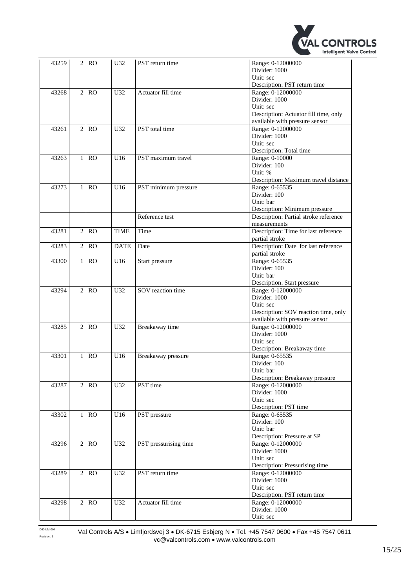

| 43259 | 2              | <b>RO</b> | U32             | PST return time       | Range: 0-12000000                         |
|-------|----------------|-----------|-----------------|-----------------------|-------------------------------------------|
|       |                |           |                 |                       | Divider: 1000                             |
|       |                |           |                 |                       | Unit: sec<br>Description: PST return time |
| 43268 | $\overline{2}$ | <b>RO</b> | U <sub>32</sub> | Actuator fill time    | Range: 0-12000000                         |
|       |                |           |                 |                       | Divider: 1000                             |
|       |                |           |                 |                       | Unit: sec                                 |
|       |                |           |                 |                       |                                           |
|       |                |           |                 |                       | Description: Actuator fill time, only     |
|       |                |           |                 |                       | available with pressure sensor            |
| 43261 | $\overline{c}$ | <b>RO</b> | U32             | PST total time        | Range: 0-12000000                         |
|       |                |           |                 |                       | Divider: 1000                             |
|       |                |           |                 |                       | Unit: sec                                 |
|       |                |           |                 |                       | Description: Total time                   |
| 43263 | $\mathbf{1}$   | <b>RO</b> | U16             | PST maximum travel    | Range: 0-10000                            |
|       |                |           |                 |                       | Divider: 100                              |
|       |                |           |                 |                       | Unit: %                                   |
|       |                |           |                 |                       | Description: Maximum travel distance      |
| 43273 | $\mathbf{1}$   | <b>RO</b> | U16             | PST minimum pressure  | Range: 0-65535                            |
|       |                |           |                 |                       | Divider: 100                              |
|       |                |           |                 |                       | Unit: bar                                 |
|       |                |           |                 |                       | Description: Minimum pressure             |
|       |                |           |                 | Reference test        | Description: Partial stroke reference     |
|       |                |           |                 |                       | measurements                              |
| 43281 | $\overline{c}$ | <b>RO</b> | <b>TIME</b>     | Time                  | Description: Time for last reference      |
|       |                |           |                 |                       | partial stroke                            |
| 43283 | $\overline{2}$ | <b>RO</b> | <b>DATE</b>     | Date                  | Description: Date for last reference      |
|       |                |           |                 |                       | partial stroke                            |
| 43300 | $\mathbf{1}$   | <b>RO</b> | U16             |                       | Range: 0-65535                            |
|       |                |           |                 | Start pressure        | Divider: 100                              |
|       |                |           |                 |                       | Unit: bar                                 |
|       |                |           |                 |                       |                                           |
|       |                |           |                 |                       | Description: Start pressure               |
| 43294 | $\overline{c}$ | <b>RO</b> | U32             | SOV reaction time     | Range: 0-12000000                         |
|       |                |           |                 |                       | Divider: 1000                             |
|       |                |           |                 |                       | Unit: sec                                 |
|       |                |           |                 |                       | Description: SOV reaction time, only      |
|       |                |           |                 |                       | available with pressure sensor            |
| 43285 | $\overline{c}$ | <b>RO</b> | U32             | Breakaway time        | Range: 0-12000000                         |
|       |                |           |                 |                       | Divider: 1000                             |
|       |                |           |                 |                       | Unit: sec                                 |
|       |                |           |                 |                       | Description: Breakaway time               |
| 43301 | $\mathbf{1}$   | <b>RO</b> | U16             | Breakaway pressure    | Range: 0-65535                            |
|       |                |           |                 |                       | Divider: 100                              |
|       |                |           |                 |                       | Unit: bar                                 |
|       |                |           |                 |                       | Description: Breakaway pressure           |
| 43287 | $\overline{c}$ | RO        | U32             | PST time              | Range: 0-12000000                         |
|       |                |           |                 |                       | Divider: 1000                             |
|       |                |           |                 |                       | Unit: sec                                 |
|       |                |           |                 |                       | Description: PST time                     |
| 43302 | 1              | RO        | U16             | PST pressure          | Range: 0-65535                            |
|       |                |           |                 |                       | Divider: 100                              |
|       |                |           |                 |                       | Unit: bar                                 |
|       |                |           |                 |                       | Description: Pressure at SP               |
| 43296 | $\sqrt{2}$     | RO        | U32             | PST pressurising time | Range: 0-12000000                         |
|       |                |           |                 |                       | Divider: 1000                             |
|       |                |           |                 |                       | Unit: sec                                 |
|       |                |           |                 |                       |                                           |
|       |                |           |                 |                       | Description: Pressurising time            |
| 43289 | 2              | RO        | U32             | PST return time       | Range: 0-12000000                         |
|       |                |           |                 |                       | Divider: 1000                             |
|       |                |           |                 |                       | Unit: sec                                 |
|       |                |           |                 |                       | Description: PST return time              |
| 43298 | 2              | RO        | U32             | Actuator fill time    | Range: 0-12000000                         |
|       |                |           |                 |                       | Divider: 1000                             |
|       |                |           |                 |                       | Unit: sec                                 |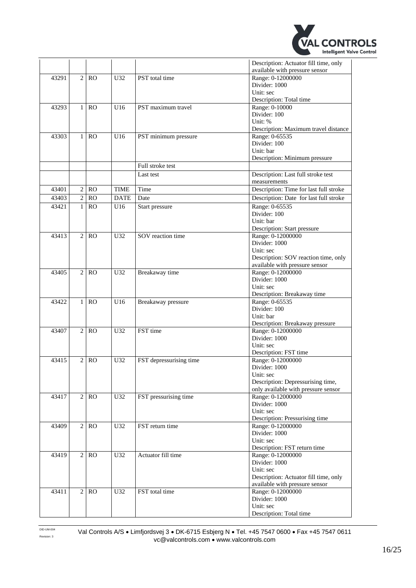

|       |                |           |             |                         | Description: Actuator fill time, only<br>available with pressure sensor |
|-------|----------------|-----------|-------------|-------------------------|-------------------------------------------------------------------------|
| 43291 | $\overline{2}$ | <b>RO</b> | U32         | PST total time          | Range: 0-12000000                                                       |
|       |                |           |             |                         | Divider: 1000                                                           |
|       |                |           |             |                         | Unit: sec                                                               |
|       |                |           |             |                         | Description: Total time                                                 |
| 43293 | $\mathbf{1}$   | RO        | U16         | PST maximum travel      | Range: 0-10000                                                          |
|       |                |           |             |                         | Divider: 100                                                            |
|       |                |           |             |                         | Unit: %                                                                 |
|       |                |           |             |                         | Description: Maximum travel distance                                    |
| 43303 | $\mathbf{1}$   | RO        | U16         | PST minimum pressure    | Range: 0-65535                                                          |
|       |                |           |             |                         | Divider: 100                                                            |
|       |                |           |             |                         | Unit: bar                                                               |
|       |                |           |             |                         | Description: Minimum pressure                                           |
|       |                |           |             | Full stroke test        |                                                                         |
|       |                |           |             | Last test               | Description: Last full stroke test                                      |
|       |                |           |             |                         | measurements                                                            |
| 43401 | $\overline{c}$ | <b>RO</b> | <b>TIME</b> | Time                    | Description: Time for last full stroke                                  |
| 43403 | $\overline{2}$ | RO        | <b>DATE</b> | Date                    | Description: Date for last full stroke                                  |
| 43421 | $\mathbf{1}$   | RO        | U16         | Start pressure          | Range: 0-65535                                                          |
|       |                |           |             |                         | Divider: 100                                                            |
|       |                |           |             |                         | Unit: bar                                                               |
|       |                |           |             |                         | Description: Start pressure                                             |
| 43413 | $\overline{2}$ | RO        | U32         | SOV reaction time       | Range: 0-12000000                                                       |
|       |                |           |             |                         | Divider: 1000                                                           |
|       |                |           |             |                         | Unit: sec                                                               |
|       |                |           |             |                         | Description: SOV reaction time, only                                    |
|       |                |           |             |                         | available with pressure sensor                                          |
| 43405 | $\overline{c}$ | RO        | U32         | Breakaway time          | Range: 0-12000000                                                       |
|       |                |           |             |                         | Divider: 1000                                                           |
|       |                |           |             |                         | Unit: sec                                                               |
|       |                |           |             |                         | Description: Breakaway time                                             |
| 43422 | 1              | <b>RO</b> | U16         | Breakaway pressure      | Range: 0-65535                                                          |
|       |                |           |             |                         | Divider: 100                                                            |
|       |                |           |             |                         | Unit: bar                                                               |
|       |                |           |             |                         | Description: Breakaway pressure                                         |
| 43407 | $\mathbf{2}$   | <b>RO</b> | U32         | FST time                | Range: 0-12000000                                                       |
|       |                |           |             |                         | Divider: 1000                                                           |
|       |                |           |             |                         | Unit: sec                                                               |
|       |                |           |             |                         | Description: FST time                                                   |
| 43415 | $\overline{c}$ | <b>RO</b> | U32         | FST depressurising time | Range: 0-12000000                                                       |
|       |                |           |             |                         | Divider: 1000<br>Unit: sec                                              |
|       |                |           |             |                         | Description: Depressurising time,                                       |
|       |                |           |             |                         | only available with pressure sensor                                     |
| 43417 | $\overline{c}$ | RO        | U32         | FST pressurising time   | Range: 0-12000000                                                       |
|       |                |           |             |                         | Divider: 1000                                                           |
|       |                |           |             |                         | Unit: sec                                                               |
|       |                |           |             |                         | Description: Pressurising time                                          |
| 43409 | $\overline{2}$ | <b>RO</b> | U32         | FST return time         | Range: 0-12000000                                                       |
|       |                |           |             |                         | Divider: 1000                                                           |
|       |                |           |             |                         | Unit: sec                                                               |
|       |                |           |             |                         | Description: FST return time                                            |
| 43419 | $\overline{2}$ | RO        | U32         | Actuator fill time      | Range: 0-12000000                                                       |
|       |                |           |             |                         | Divider: 1000                                                           |
|       |                |           |             |                         | Unit: sec                                                               |
|       |                |           |             |                         | Description: Actuator fill time, only                                   |
|       |                |           |             |                         | available with pressure sensor                                          |
| 43411 | 2              | RO        | U32         | FST total time          | Range: 0-12000000                                                       |
|       |                |           |             |                         | Divider: 1000                                                           |
|       |                |           |             |                         | Unit: sec                                                               |
|       |                |           |             |                         | Description: Total time                                                 |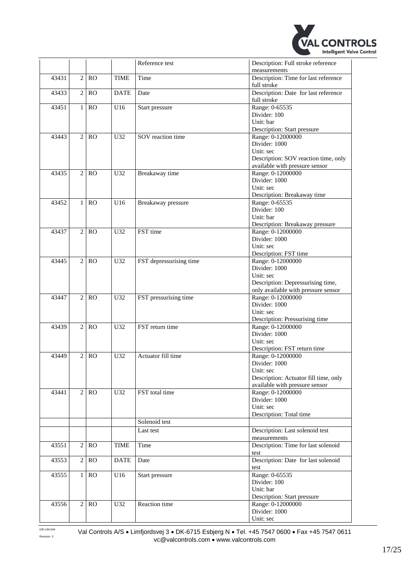

|       |                |           |             | Reference test          | Description: Full stroke reference<br>measurements                                    |
|-------|----------------|-----------|-------------|-------------------------|---------------------------------------------------------------------------------------|
| 43431 | $\overline{2}$ | RO        | <b>TIME</b> | Time                    | Description: Time for last reference<br>full stroke                                   |
| 43433 | $\overline{c}$ | RO        | <b>DATE</b> | Date                    | Description: Date for last reference<br>full stroke                                   |
| 43451 | $\mathbf{1}$   | RO        | U16         | Start pressure          | Range: 0-65535<br>Divider: 100                                                        |
|       |                |           |             |                         | Unit: bar<br>Description: Start pressure                                              |
| 43443 | $\overline{2}$ | <b>RO</b> | U32         | SOV reaction time       | Range: 0-12000000<br>Divider: 1000<br>Unit: sec                                       |
|       |                |           |             |                         | Description: SOV reaction time, only<br>available with pressure sensor                |
| 43435 | $\overline{2}$ | <b>RO</b> | U32         | Breakaway time          | Range: 0-12000000<br>Divider: 1000                                                    |
|       |                |           |             |                         | Unit: sec<br>Description: Breakaway time                                              |
| 43452 | $\mathbf{1}$   | <b>RO</b> | U16         | Breakaway pressure      | Range: 0-65535<br>Divider: 100<br>Unit: bar                                           |
| 43437 | $\overline{2}$ | RO        | U32         | FST time                | Description: Breakaway pressure<br>Range: 0-12000000                                  |
|       |                |           |             |                         | Divider: 1000<br>Unit: sec                                                            |
| 43445 | $\overline{2}$ | <b>RO</b> | U32         | FST depressurising time | Description: FST time<br>Range: 0-12000000<br>Divider: 1000                           |
|       |                |           |             |                         | Unit: sec<br>Description: Depressurising time,<br>only available with pressure sensor |
| 43447 | $\overline{c}$ | RO        | U32         | FST pressurising time   | Range: 0-12000000<br>Divider: 1000                                                    |
|       |                |           |             |                         | Unit: sec<br>Description: Pressurising time                                           |
| 43439 | $\overline{c}$ | <b>RO</b> | U32         | FST return time         | Range: 0-12000000<br>Divider: 1000<br>Unit: sec                                       |
| 43449 | $\mathbf{2}$   | <b>RO</b> | U32         | Actuator fill time      | Description: FST return time<br>Range: 0-12000000                                     |
|       |                |           |             |                         | Divider: 1000<br>Unit: sec<br>Description: Actuator fill time, only                   |
| 43441 | $\overline{2}$ | RO        | U32         | FST total time          | available with pressure sensor<br>Range: 0-12000000                                   |
|       |                |           |             |                         | Divider: 1000<br>Unit: sec                                                            |
|       |                |           |             | Solenoid test           | Description: Total time                                                               |
|       |                |           |             | Last test               | Description: Last solenoid test                                                       |
| 43551 | $\mathbf{2}$   | <b>RO</b> | <b>TIME</b> | Time                    | measurements<br>Description: Time for last solenoid                                   |
| 43553 | 2              | <b>RO</b> | <b>DATE</b> | Date                    | test<br>Description: Date for last solenoid                                           |
| 43555 | $\mathbf{1}$   | RO        | U16         | Start pressure          | test<br>Range: 0-65535                                                                |
|       |                |           |             |                         | Divider: 100<br>Unit: bar                                                             |
| 43556 | $\overline{2}$ | RO        | U32         | Reaction time           | Description: Start pressure<br>Range: 0-12000000<br>Divider: 1000                     |
|       |                |           |             |                         | Unit: sec                                                                             |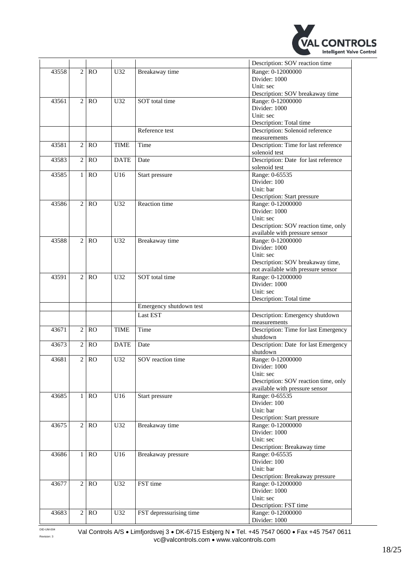

|       |                |                   |             |                         | Description: SOV reaction time       |
|-------|----------------|-------------------|-------------|-------------------------|--------------------------------------|
| 43558 | $\mathbf{2}$   | <b>RO</b>         | U32         | Breakaway time          | Range: 0-12000000                    |
|       |                |                   |             |                         | Divider: 1000                        |
|       |                |                   |             |                         | Unit: sec                            |
|       |                |                   |             |                         | Description: SOV breakaway time      |
| 43561 | $\overline{2}$ | RO                | U32         | SOT total time          | Range: 0-12000000                    |
|       |                |                   |             |                         | Divider: 1000                        |
|       |                |                   |             |                         | Unit: sec                            |
|       |                |                   |             |                         | Description: Total time              |
|       |                |                   |             | Reference test          | Description: Solenoid reference      |
|       |                |                   |             |                         | measurements                         |
| 43581 | $\overline{c}$ | RO                | <b>TIME</b> | Time                    | Description: Time for last reference |
|       |                |                   |             |                         | solenoid test                        |
| 43583 | $\overline{c}$ | <b>RO</b>         | <b>DATE</b> | Date                    | Description: Date for last reference |
|       |                |                   |             |                         |                                      |
|       |                |                   |             |                         | solenoid test                        |
| 43585 | $\mathbf{1}$   | <b>RO</b>         | U16         | Start pressure          | Range: 0-65535<br>Divider: 100       |
|       |                |                   |             |                         |                                      |
|       |                |                   |             |                         | Unit: bar                            |
|       |                |                   |             |                         | <b>Description: Start pressure</b>   |
| 43586 | $\overline{2}$ | RO                | U32         | Reaction time           | Range: 0-12000000                    |
|       |                |                   |             |                         | Divider: 1000                        |
|       |                |                   |             |                         | Unit: sec                            |
|       |                |                   |             |                         | Description: SOV reaction time, only |
|       |                |                   |             |                         | available with pressure sensor       |
| 43588 | $\overline{2}$ | RO                | U32         | Breakaway time          | Range: 0-12000000                    |
|       |                |                   |             |                         | Divider: 1000                        |
|       |                |                   |             |                         | Unit: sec                            |
|       |                |                   |             |                         | Description: SOV breakaway time,     |
|       |                |                   |             |                         | not available with pressure sensor   |
| 43591 | $\overline{c}$ | <sub>RO</sub>     | U32         | SOT total time          | Range: 0-12000000                    |
|       |                |                   |             |                         | Divider: 1000                        |
|       |                |                   |             |                         | Unit: sec                            |
|       |                |                   |             |                         | Description: Total time              |
|       |                |                   |             | Emergency shutdown test |                                      |
|       |                |                   |             | Last EST                | Description: Emergency shutdown      |
|       |                |                   |             |                         | measurements                         |
| 43671 | $\overline{c}$ | <b>RO</b>         | <b>TIME</b> | Time                    | Description: Time for last Emergency |
|       |                |                   |             |                         | shutdown                             |
| 43673 | $\overline{2}$ | <b>RO</b>         | <b>DATE</b> | Date                    | Description: Date for last Emergency |
|       |                |                   |             |                         | shutdown                             |
| 43681 | $\mathbf{2}$   | <b>RO</b>         | U32         | SOV reaction time       | Range: 0-12000000                    |
|       |                |                   |             |                         | Divider: 1000                        |
|       |                |                   |             |                         | Unit: sec                            |
|       |                |                   |             |                         | Description: SOV reaction time, only |
|       |                |                   |             |                         | available with pressure sensor       |
| 43685 | $\mathbf{1}$   | <b>RO</b>         | U16         | Start pressure          | Range: 0-65535                       |
|       |                |                   |             |                         | Divider: 100                         |
|       |                |                   |             |                         | Unit: bar                            |
|       |                |                   |             |                         | Description: Start pressure          |
| 43675 |                | 2 RO              | U32         | Breakaway time          | Range: 0-12000000                    |
|       |                |                   |             |                         | Divider: 1000                        |
|       |                |                   |             |                         | Unit: sec                            |
|       |                |                   |             |                         | Description: Breakaway time          |
| 43686 | $\mathbf{1}$   | RO                | U16         | Breakaway pressure      | Range: 0-65535                       |
|       |                |                   |             |                         | Divider: 100                         |
|       |                |                   |             |                         | Unit: bar                            |
|       |                |                   |             |                         | Description: Breakaway pressure      |
| 43677 |                | 2 RO              | U32         | FST time                | Range: 0-12000000                    |
|       |                |                   |             |                         | Divider: 1000                        |
|       |                |                   |             |                         | Unit: sec                            |
|       |                |                   |             |                         | Description: FST time                |
| 43683 |                | $\overline{2}$ RO | U32         | FST depressurising time | Range: 0-12000000                    |
|       |                |                   |             |                         | Divider: 1000                        |
|       |                |                   |             |                         |                                      |

DID-UM-004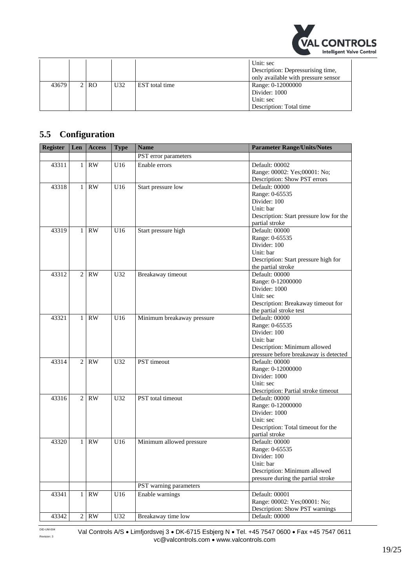

|       |      |     |                | Unit: sec<br>Description: Depressurising time,<br>only available with pressure sensor |
|-------|------|-----|----------------|---------------------------------------------------------------------------------------|
| 43679 | 2 RO | U32 | EST total time | Range: 0-12000000<br>Divider: 1000                                                    |
|       |      |     |                | Unit: sec<br>Description: Total time                                                  |

## <span id="page-18-0"></span>**5.5 Configuration**

| Register | Len            | <b>Access</b>          | <b>Type</b> | <b>Name</b>                | <b>Parameter Range/Units/Notes</b>      |
|----------|----------------|------------------------|-------------|----------------------------|-----------------------------------------|
|          |                |                        |             | PST error parameters       |                                         |
| 43311    | $\mathbf{1}$   | RW                     | U16         | Enable errors              | Default: 00002                          |
|          |                |                        |             |                            | Range: 00002: Yes;00001: No;            |
|          |                |                        |             |                            | Description: Show PST errors            |
| 43318    | $\mathbf{1}$   | <b>RW</b>              | U16         | Start pressure low         | Default: 00000                          |
|          |                |                        |             |                            | Range: 0-65535                          |
|          |                |                        |             |                            | Divider: 100                            |
|          |                |                        |             |                            | Unit: bar                               |
|          |                |                        |             |                            | Description: Start pressure low for the |
|          |                |                        |             |                            | partial stroke                          |
| 43319    | $\mathbf{1}$   | <b>RW</b>              | U16         | Start pressure high        | Default: 00000                          |
|          |                |                        |             |                            | Range: 0-65535                          |
|          |                |                        |             |                            | Divider: 100                            |
|          |                |                        |             |                            | Unit: bar                               |
|          |                |                        |             |                            | Description: Start pressure high for    |
|          |                |                        |             |                            | the partial stroke                      |
| 43312    | $\overline{2}$ | <b>RW</b>              | U32         | Breakaway timeout          | Default: 00000                          |
|          |                |                        |             |                            | Range: 0-12000000                       |
|          |                |                        |             |                            | Divider: 1000                           |
|          |                |                        |             |                            | Unit: sec                               |
|          |                |                        |             |                            | Description: Breakaway timeout for      |
|          |                |                        |             |                            | the partial stroke test                 |
| 43321    | $\mathbf{1}$   | <b>RW</b>              | U16         | Minimum breakaway pressure | Default: 00000                          |
|          |                |                        |             |                            | Range: 0-65535                          |
|          |                |                        |             |                            | Divider: 100                            |
|          |                |                        |             |                            | Unit: bar                               |
|          |                |                        |             |                            | Description: Minimum allowed            |
|          |                |                        |             |                            | pressure before breakaway is detected   |
| 43314    | 2              | <b>RW</b>              | U32         | PST timeout                | Default: 00000                          |
|          |                |                        |             |                            | Range: 0-12000000                       |
|          |                |                        |             |                            | Divider: 1000                           |
|          |                |                        |             |                            | Unit: sec                               |
|          |                |                        |             |                            | Description: Partial stroke timeout     |
| 43316    | $\overline{c}$ | $\mathbf{R}\mathbf{W}$ | U32         | PST total timeout          | Default: 00000                          |
|          |                |                        |             |                            | Range: 0-12000000                       |
|          |                |                        |             |                            | Divider: 1000                           |
|          |                |                        |             |                            | Unit: sec                               |
|          |                |                        |             |                            | Description: Total timeout for the      |
|          |                |                        |             |                            | partial stroke                          |
| 43320    | 1              | <b>RW</b>              | U16         | Minimum allowed pressure   | Default: 00000                          |
|          |                |                        |             |                            | Range: 0-65535                          |
|          |                |                        |             |                            | Divider: 100                            |
|          |                |                        |             |                            | Unit: bar                               |
|          |                |                        |             |                            | Description: Minimum allowed            |
|          |                |                        |             |                            | pressure during the partial stroke      |
|          |                |                        |             | PST warning parameters     |                                         |
| 43341    |                | $1$ RW                 | U16         | Enable warnings            | Default: 00001                          |
|          |                |                        |             |                            | Range: 00002: Yes;00001: No;            |
|          |                |                        |             |                            | Description: Show PST warnings          |
| 43342    |                | 2 RW                   | U32         | Breakaway time low         | Default: 00000                          |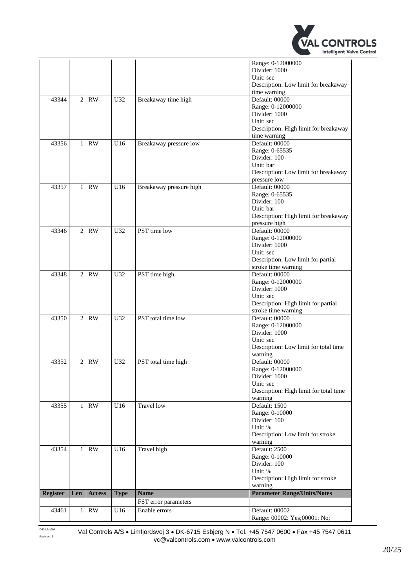

|                 |                |                        |             |                         | Range: 0-12000000                                |
|-----------------|----------------|------------------------|-------------|-------------------------|--------------------------------------------------|
|                 |                |                        |             |                         | Divider: 1000                                    |
|                 |                |                        |             |                         | Unit: sec                                        |
|                 |                |                        |             |                         | Description: Low limit for breakaway             |
|                 |                |                        |             |                         | time warning                                     |
| 43344           | $\overline{2}$ | <b>RW</b>              | U32         | Breakaway time high     | Default: 00000                                   |
|                 |                |                        |             |                         | Range: 0-12000000                                |
|                 |                |                        |             |                         | Divider: 1000<br>Unit: sec                       |
|                 |                |                        |             |                         | Description: High limit for breakaway            |
|                 |                |                        |             |                         | time warning                                     |
| 43356           | 1              | <b>RW</b>              | U16         | Breakaway pressure low  | Default: 00000                                   |
|                 |                |                        |             |                         | Range: 0-65535                                   |
|                 |                |                        |             |                         | Divider: 100                                     |
|                 |                |                        |             |                         | Unit: bar                                        |
|                 |                |                        |             |                         | Description: Low limit for breakaway             |
|                 |                |                        |             |                         | pressure low                                     |
| 43357           | $\mathbf{1}$   | <b>RW</b>              | U16         | Breakaway pressure high | Default: 00000                                   |
|                 |                |                        |             |                         | Range: 0-65535                                   |
|                 |                |                        |             |                         | Divider: 100                                     |
|                 |                |                        |             |                         | Unit: bar                                        |
|                 |                |                        |             |                         | Description: High limit for breakaway            |
|                 | $\overline{2}$ | <b>RW</b>              |             | PST time low            | pressure high<br>Default: 00000                  |
| 43346           |                |                        | U32         |                         | Range: 0-12000000                                |
|                 |                |                        |             |                         | Divider: 1000                                    |
|                 |                |                        |             |                         | Unit: sec                                        |
|                 |                |                        |             |                         | Description: Low limit for partial               |
|                 |                |                        |             |                         | stroke time warning                              |
| 43348           | $\overline{2}$ | <b>RW</b>              | U32         | PST time high           | Default: 00000                                   |
|                 |                |                        |             |                         | Range: 0-12000000                                |
|                 |                |                        |             |                         | Divider: 1000                                    |
|                 |                |                        |             |                         | Unit: sec                                        |
|                 |                |                        |             |                         | Description: High limit for partial              |
|                 |                |                        |             |                         | stroke time warning                              |
| 43350           | $\overline{2}$ | RW                     | U32         | PST total time low      | Default: 00000                                   |
|                 |                |                        |             |                         | Range: 0-12000000                                |
|                 |                |                        |             |                         | Divider: 1000                                    |
|                 |                |                        |             |                         | Unit: sec                                        |
|                 |                |                        |             |                         | Description: Low limit for total time<br>warning |
| 43352           | $\overline{c}$ | <b>RW</b>              | U32         | PST total time high     | Default: 00000                                   |
|                 |                |                        |             |                         | Range: 0-12000000                                |
|                 |                |                        |             |                         | Divider: 1000                                    |
|                 |                |                        |             |                         | Unit: sec                                        |
|                 |                |                        |             |                         | Description: High limit for total time           |
|                 |                |                        |             |                         | warning                                          |
| 43355           | $\mathbf{1}$   | $\mathbf{R}\mathbf{W}$ | U16         | <b>Travel</b> low       | Default: 1500                                    |
|                 |                |                        |             |                         | Range: 0-10000                                   |
|                 |                |                        |             |                         | Divider: 100                                     |
|                 |                |                        |             |                         | Unit: %                                          |
|                 |                |                        |             |                         | Description: Low limit for stroke                |
|                 |                |                        |             |                         | warning                                          |
| 43354           | 1              | RW                     | U16         | Travel high             | Default: 2500                                    |
|                 |                |                        |             |                         | Range: 0-10000<br>Divider: 100                   |
|                 |                |                        |             |                         | Unit: %                                          |
|                 |                |                        |             |                         | Description: High limit for stroke               |
|                 |                |                        |             |                         | warning                                          |
| <b>Register</b> | Len            | <b>Access</b>          | <b>Type</b> | <b>Name</b>             | <b>Parameter Range/Units/Notes</b>               |
|                 |                |                        |             | FST error parameters    |                                                  |
| 43461           | $\mathbf{1}$   | $\mathbf{RW}$          | U16         | Enable errors           | Default: 00002                                   |
|                 |                |                        |             |                         | Range: 00002: Yes;00001: No;                     |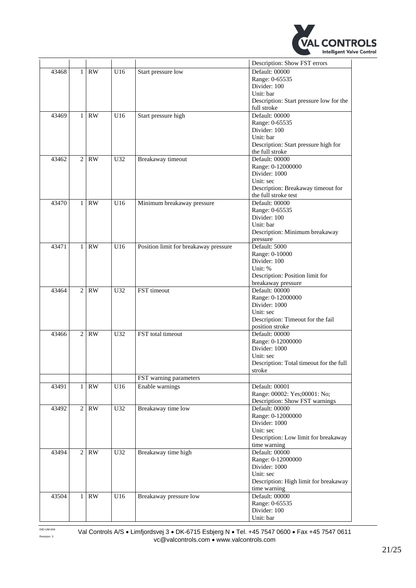

|       |                |                        |                 |                                       | Description: Show FST errors            |
|-------|----------------|------------------------|-----------------|---------------------------------------|-----------------------------------------|
| 43468 | $\mathbf{1}$   | RW                     | U16             | Start pressure low                    | Default: 00000                          |
|       |                |                        |                 |                                       | Range: 0-65535                          |
|       |                |                        |                 |                                       | Divider: 100                            |
|       |                |                        |                 |                                       | Unit: bar                               |
|       |                |                        |                 |                                       | Description: Start pressure low for the |
|       |                |                        |                 |                                       | full stroke                             |
| 43469 | $\mathbf{1}$   | <b>RW</b>              | U16             | Start pressure high                   | Default: 00000                          |
|       |                |                        |                 |                                       | Range: 0-65535                          |
|       |                |                        |                 |                                       | Divider: 100                            |
|       |                |                        |                 |                                       | Unit: bar                               |
|       |                |                        |                 |                                       | Description: Start pressure high for    |
|       |                |                        |                 |                                       | the full stroke                         |
| 43462 | $\overline{2}$ | <b>RW</b>              | U <sub>32</sub> | Breakaway timeout                     | Default: 00000                          |
|       |                |                        |                 |                                       | Range: 0-12000000                       |
|       |                |                        |                 |                                       | Divider: 1000                           |
|       |                |                        |                 |                                       | Unit: sec                               |
|       |                |                        |                 |                                       | Description: Breakaway timeout for      |
|       |                |                        |                 |                                       | the full stroke test                    |
| 43470 | $\mathbf{1}$   | RW                     | U16             | Minimum breakaway pressure            | Default: 00000                          |
|       |                |                        |                 |                                       | Range: 0-65535                          |
|       |                |                        |                 |                                       | Divider: 100                            |
|       |                |                        |                 |                                       | Unit: bar                               |
|       |                |                        |                 |                                       | Description: Minimum breakaway          |
|       |                |                        |                 |                                       | pressure                                |
| 43471 | 1              | <b>RW</b>              | U16             | Position limit for breakaway pressure | Default: 5000                           |
|       |                |                        |                 |                                       | Range: 0-10000                          |
|       |                |                        |                 |                                       | Divider: 100                            |
|       |                |                        |                 |                                       | Unit: %                                 |
|       |                |                        |                 |                                       | Description: Position limit for         |
|       |                |                        |                 |                                       | breakaway pressure                      |
| 43464 | $\overline{2}$ | RW                     | U32             | FST timeout                           | Default: 00000                          |
|       |                |                        |                 |                                       | Range: 0-12000000                       |
|       |                |                        |                 |                                       | Divider: 1000                           |
|       |                |                        |                 |                                       | Unit: sec                               |
|       |                |                        |                 |                                       | Description: Timeout for the fail       |
|       |                |                        |                 |                                       | position stroke                         |
| 43466 | $\overline{c}$ | <b>RW</b>              | U <sub>32</sub> | FST total timeout                     | Default: 00000                          |
|       |                |                        |                 |                                       | Range: 0-12000000                       |
|       |                |                        |                 |                                       | Divider: 1000                           |
|       |                |                        |                 |                                       | Unit: sec                               |
|       |                |                        |                 |                                       | Description: Total timeout for the full |
|       |                |                        |                 |                                       | stroke                                  |
|       |                |                        |                 | FST warning parameters                |                                         |
| 43491 | $\mathbf{1}$   | $\mathbf{R}\mathbf{W}$ | U16             | Enable warnings                       | Default: 00001                          |
|       |                |                        |                 |                                       | Range: 00002: Yes;00001: No;            |
|       |                |                        |                 |                                       | Description: Show FST warnings          |
| 43492 |                | $2$ RW                 | U32             | Breakaway time low                    | Default: 00000                          |
|       |                |                        |                 |                                       | Range: 0-12000000                       |
|       |                |                        |                 |                                       | Divider: 1000                           |
|       |                |                        |                 |                                       | Unit: sec                               |
|       |                |                        |                 |                                       | Description: Low limit for breakaway    |
|       |                |                        |                 |                                       | time warning                            |
| 43494 | $\overline{2}$ | RW                     | U32             | Breakaway time high                   | Default: 00000                          |
|       |                |                        |                 |                                       | Range: 0-12000000                       |
|       |                |                        |                 |                                       | Divider: 1000                           |
|       |                |                        |                 |                                       | Unit: sec                               |
|       |                |                        |                 |                                       | Description: High limit for breakaway   |
|       |                |                        |                 |                                       | time warning                            |
| 43504 | $\mathbf{1}$   | RW                     | U16             | Breakaway pressure low                | Default: 00000                          |
|       |                |                        |                 |                                       | Range: 0-65535                          |
|       |                |                        |                 |                                       | Divider: 100                            |
|       |                |                        |                 |                                       | Unit: bar                               |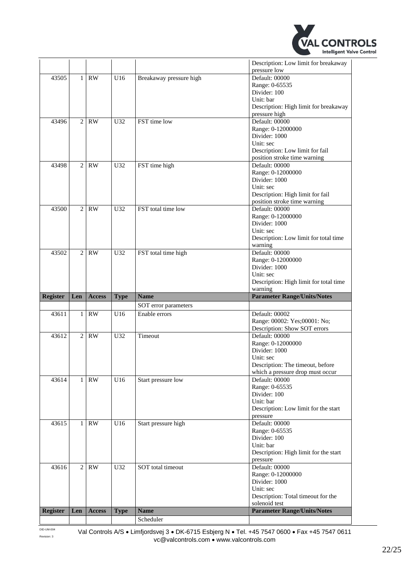

| Description: Low limit for breakaway                         |
|--------------------------------------------------------------|
|                                                              |
|                                                              |
|                                                              |
|                                                              |
| Description: High limit for breakaway                        |
|                                                              |
|                                                              |
|                                                              |
|                                                              |
|                                                              |
| Description: Low limit for fail                              |
| position stroke time warning                                 |
|                                                              |
|                                                              |
|                                                              |
| Description: High limit for fail                             |
| position stroke time warning                                 |
|                                                              |
|                                                              |
|                                                              |
|                                                              |
| Description: Low limit for total time                        |
|                                                              |
|                                                              |
|                                                              |
|                                                              |
|                                                              |
| Description: High limit for total time                       |
|                                                              |
| <b>Parameter Range/Units/Notes</b>                           |
|                                                              |
|                                                              |
|                                                              |
| Range: 00002: Yes;00001: No;<br>Description: Show SOT errors |
|                                                              |
|                                                              |
|                                                              |
|                                                              |
| Description: The timeout, before                             |
| which a pressure drop must occur                             |
|                                                              |
|                                                              |
|                                                              |
|                                                              |
| Description: Low limit for the start                         |
|                                                              |
|                                                              |
|                                                              |
|                                                              |
| Description: High limit for the start                        |
|                                                              |
|                                                              |
|                                                              |
|                                                              |
|                                                              |
| Description: Total timeout for the                           |
| <b>Parameter Range/Units/Notes</b>                           |
|                                                              |

DID-UM-004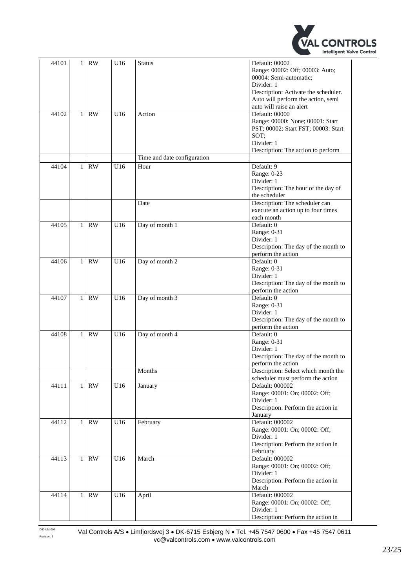

| 44101 | $\mathbf{1}$ | <b>RW</b> | U16 | <b>Status</b>               | Default: 00002<br>Range: 00002: Off; 00003: Auto;<br>00004: Semi-automatic;<br>Divider: 1<br>Description: Activate the scheduler.<br>Auto will perform the action, semi<br>auto will raise an alert |
|-------|--------------|-----------|-----|-----------------------------|-----------------------------------------------------------------------------------------------------------------------------------------------------------------------------------------------------|
| 44102 | $\mathbf{1}$ | <b>RW</b> | U16 | Action                      | Default: 00000<br>Range: 00000: None; 00001: Start<br>PST; 00002: Start FST; 00003: Start<br>SOT:<br>Divider: 1<br>Description: The action to perform                                               |
|       |              |           |     | Time and date configuration |                                                                                                                                                                                                     |
| 44104 | $\mathbf{1}$ | <b>RW</b> | U16 | Hour                        | Default: 9<br>Range: 0-23<br>Divider: 1<br>Description: The hour of the day of<br>the scheduler                                                                                                     |
|       |              |           |     | Date                        | Description: The scheduler can<br>execute an action up to four times<br>each month                                                                                                                  |
| 44105 | $\mathbf{1}$ | <b>RW</b> | U16 | Day of month 1              | Default: 0<br>Range: 0-31<br>Divider: 1<br>Description: The day of the month to<br>perform the action                                                                                               |
| 44106 | $\mathbf{1}$ | <b>RW</b> | U16 | Day of month 2              | Default: 0<br>Range: 0-31<br>Divider: 1<br>Description: The day of the month to<br>perform the action                                                                                               |
| 44107 | $\mathbf{1}$ | <b>RW</b> | U16 | Day of month 3              | Default: 0<br>Range: 0-31<br>Divider: 1<br>Description: The day of the month to<br>perform the action                                                                                               |
| 44108 | $\mathbf{1}$ | RW        | U16 | Day of month 4              | Default: 0<br>Range: 0-31<br>Divider: 1<br>Description: The day of the month to<br>perform the action                                                                                               |
|       |              |           |     | Months                      | Description: Select which month the<br>scheduler must perform the action                                                                                                                            |
| 44111 | 1            | <b>RW</b> | U16 | January                     | Default: 000002<br>Range: 00001: On; 00002: Off;<br>Divider: 1<br>Description: Perform the action in<br>January                                                                                     |
| 44112 | $\mathbf{1}$ | RW        | U16 | February                    | Default: 000002<br>Range: 00001: On; 00002: Off;<br>Divider: 1<br>Description: Perform the action in<br>February                                                                                    |
| 44113 | $\mathbf{1}$ | RW        | U16 | March                       | Default: 000002<br>Range: 00001: On; 00002: Off;<br>Divider: 1<br>Description: Perform the action in<br>March                                                                                       |
| 44114 | $\mathbf{1}$ | RW        | U16 | April                       | Default: 000002<br>Range: 00001: On; 00002: Off;<br>Divider: 1<br>Description: Perform the action in                                                                                                |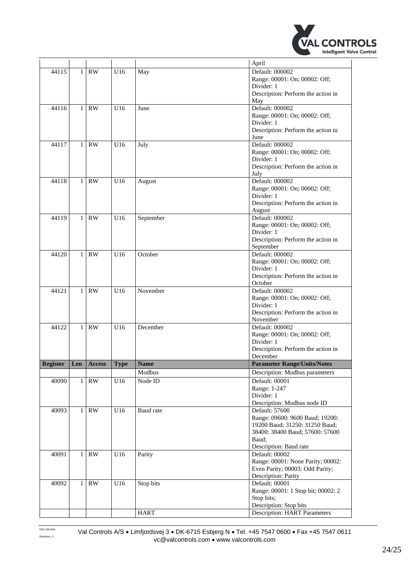

|                 |              |               |             |             | April                                                         |
|-----------------|--------------|---------------|-------------|-------------|---------------------------------------------------------------|
| 44115           | $\mathbf{1}$ | <b>RW</b>     | U16         | May         | Default: 000002                                               |
|                 |              |               |             |             | Range: 00001: On; 00002: Off;                                 |
|                 |              |               |             |             | Divider: 1                                                    |
|                 |              |               |             |             | Description: Perform the action in                            |
|                 |              |               |             |             | May                                                           |
| 44116           | $\mathbf{1}$ | RW            | U16         | June        | Default: 000002                                               |
|                 |              |               |             |             | Range: 00001: On; 00002: Off;                                 |
|                 |              |               |             |             | Divider: 1<br>Description: Perform the action in              |
|                 |              |               |             |             | June                                                          |
| 44117           | $\mathbf{1}$ | <b>RW</b>     | U16         | July        | Default: 000002                                               |
|                 |              |               |             |             | Range: 00001: On; 00002: Off;                                 |
|                 |              |               |             |             | Divider: 1                                                    |
|                 |              |               |             |             | Description: Perform the action in                            |
|                 |              |               |             |             | July                                                          |
| 44118           | $\mathbf{1}$ | <b>RW</b>     | U16         | August      | Default: 000002                                               |
|                 |              |               |             |             | Range: 00001: On; 00002: Off;                                 |
|                 |              |               |             |             | Divider: 1                                                    |
|                 |              |               |             |             | Description: Perform the action in                            |
| 44119           | $\mathbf{1}$ | <b>RW</b>     | U16         | September   | August<br>Default: 000002                                     |
|                 |              |               |             |             | Range: 00001: On; 00002: Off;                                 |
|                 |              |               |             |             | Divider: 1                                                    |
|                 |              |               |             |             | Description: Perform the action in                            |
|                 |              |               |             |             | September                                                     |
| 44120           | $\mathbf{1}$ | <b>RW</b>     | U16         | October     | Default: 000002                                               |
|                 |              |               |             |             | Range: 00001: On; 00002: Off;                                 |
|                 |              |               |             |             | Divider: 1                                                    |
|                 |              |               |             |             | Description: Perform the action in                            |
|                 |              |               |             |             | October                                                       |
| 44121           | $\mathbf{1}$ | <b>RW</b>     | U16         | November    | Default: 000002                                               |
|                 |              |               |             |             | Range: 00001: On; 00002: Off;<br>Divider: 1                   |
|                 |              |               |             |             | Description: Perform the action in                            |
|                 |              |               |             |             | November                                                      |
| 44122           | $\mathbf{1}$ | <b>RW</b>     | U16         | December    | Default: 000002                                               |
|                 |              |               |             |             | Range: 00001: On; 00002: Off;                                 |
|                 |              |               |             |             | Divider: 1                                                    |
|                 |              |               |             |             | Description: Perform the action in                            |
|                 |              |               |             |             | December                                                      |
| <b>Register</b> | Len          | <b>Access</b> | <b>Type</b> | <b>Name</b> | <b>Parameter Range/Units/Notes</b>                            |
|                 |              |               |             | Modbus      | Description: Modbus parameters                                |
| 40090           | 1            | <b>RW</b>     | U16         | Node ID     | Default: 00001                                                |
|                 |              |               |             |             | Range: 1-247                                                  |
|                 |              |               |             |             | Divider: 1<br>Description: Modbus node ID                     |
| 40093           | 1            | RW            | U16         | Baud rate   | Default: 57600                                                |
|                 |              |               |             |             | Range: 09600: 9600 Baud; 19200:                               |
|                 |              |               |             |             | 19200 Baud; 31250: 31250 Baud;                                |
|                 |              |               |             |             | 38400: 38400 Baud; 57600: 57600                               |
|                 |              |               |             |             | Baud:                                                         |
|                 |              |               |             |             | Description: Baud rate                                        |
| 40091           | $\mathbf{1}$ | RW            | U16         | Parity      | Default: 00002                                                |
|                 |              |               |             |             | Range: 00001: None Parity; 00002:                             |
|                 |              |               |             |             | Even Parity; 00003: Odd Parity;                               |
|                 |              |               |             |             | Description: Parity                                           |
| 40092           | $\mathbf{1}$ | <b>RW</b>     | U16         | Stop bits   | Default: 00001                                                |
|                 |              |               |             |             | Range: 00001: 1 Stop bit; 00002: 2<br>Stop bits;              |
|                 |              |               |             |             |                                                               |
|                 |              |               |             |             |                                                               |
|                 |              |               |             | <b>HART</b> | Description: Stop bits<br><b>Description: HART Parameters</b> |

DID-UM-004